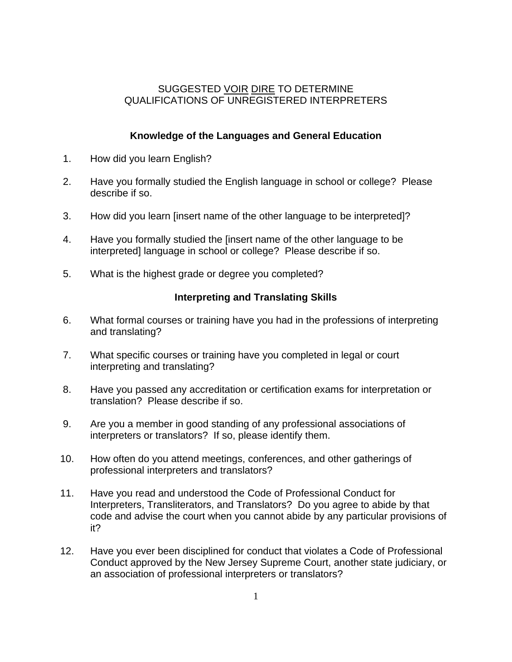## SUGGESTED VOIR DIRE TO DETERMINE QUALIFICATIONS OF UNREGISTERED INTERPRETERS

# **Knowledge of the Languages and General Education**

- 1. How did you learn English?
- 2. Have you formally studied the English language in school or college? Please describe if so.
- 3. How did you learn [insert name of the other language to be interpreted]?
- 4. Have you formally studied the [insert name of the other language to be interpreted] language in school or college? Please describe if so.
- 5. What is the highest grade or degree you completed?

#### **Interpreting and Translating Skills**

- 6. What formal courses or training have you had in the professions of interpreting and translating?
- 7. What specific courses or training have you completed in legal or court interpreting and translating?
- 8. Have you passed any accreditation or certification exams for interpretation or translation? Please describe if so.
- 9. Are you a member in good standing of any professional associations of interpreters or translators? If so, please identify them.
- 10. How often do you attend meetings, conferences, and other gatherings of professional interpreters and translators?
- 11. Have you read and understood the Code of Professional Conduct for Interpreters, Transliterators, and Translators? Do you agree to abide by that code and advise the court when you cannot abide by any particular provisions of it?
- 12. Have you ever been disciplined for conduct that violates a Code of Professional Conduct approved by the New Jersey Supreme Court, another state judiciary, or an association of professional interpreters or translators?